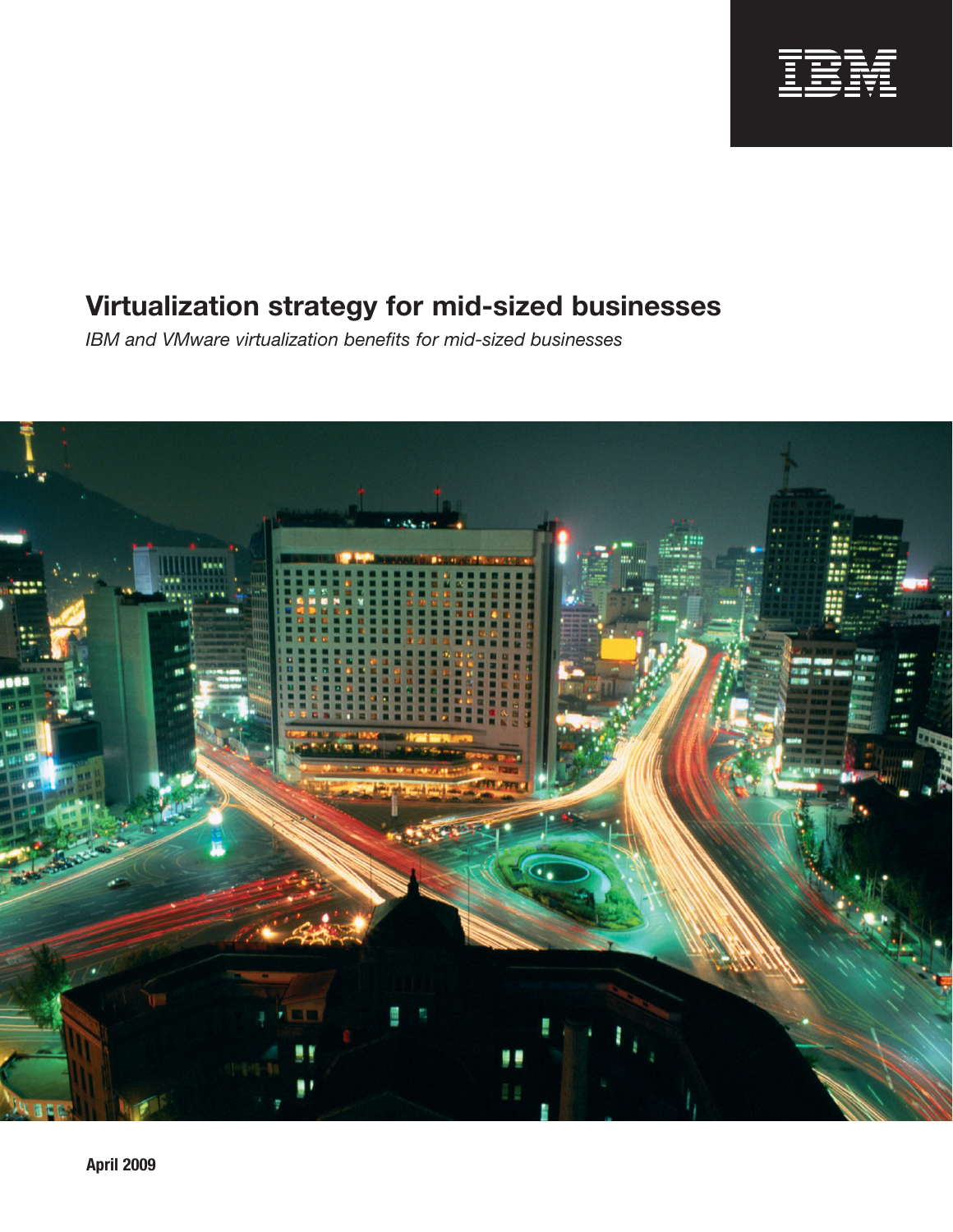

*IBM and VMware virtualization benefits for mid-sized businesses*

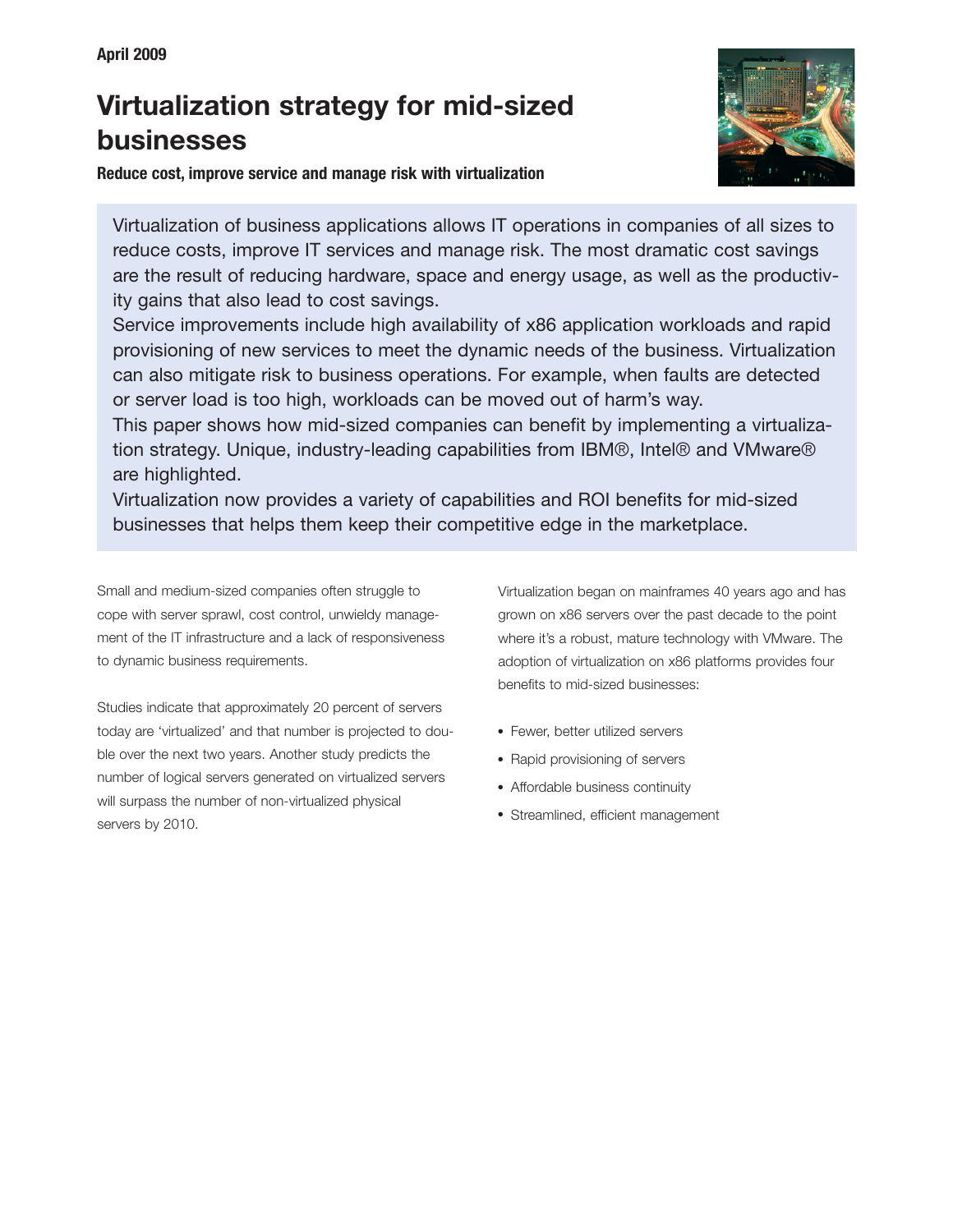

**Reduce cost, improve service and manage risk with virtualization**

Virtualization of business applications allows IT operations in companies of all sizes to reduce costs, improve IT services and manage risk. The most dramatic cost savings are the result of reducing hardware, space and energy usage, as well as the productivity gains that also lead to cost savings.

Service improvements include high availability of x86 application workloads and rapid provisioning of new services to meet the dynamic needs of the business. Virtualization can also mitigate risk to business operations. For example, when faults are detected or server load is too high, workloads can be moved out of harm's way.

This paper shows how mid-sized companies can benefit by implementing a virtualization strategy. Unique, industry-leading capabilities from IBM®, Intel® and VMware® are highlighted.

Virtualization now provides a variety of capabilities and ROI benefits for mid-sized businesses that helps them keep their competitive edge in the marketplace.

Small and medium-sized companies often struggle to cope with server sprawl, cost control, unwieldy management of the IT infrastructure and a lack of responsiveness to dynamic business requirements.

Studies indicate that approximately 20 percent of servers today are 'virtualized' and that number is projected to double over the next two years. Another study predicts the number of logical servers generated on virtualized servers will surpass the number of non-virtualized physical servers by 2010.

Virtualization began on mainframes 40 years ago and has grown on x86 servers over the past decade to the point where it's a robust, mature technology with VMware. The adoption of virtualization on x86 platforms provides four benefits to mid-sized businesses:

- Fewer, better utilized servers
- Rapid provisioning of servers
- Affordable business continuity
- Streamlined, efficient management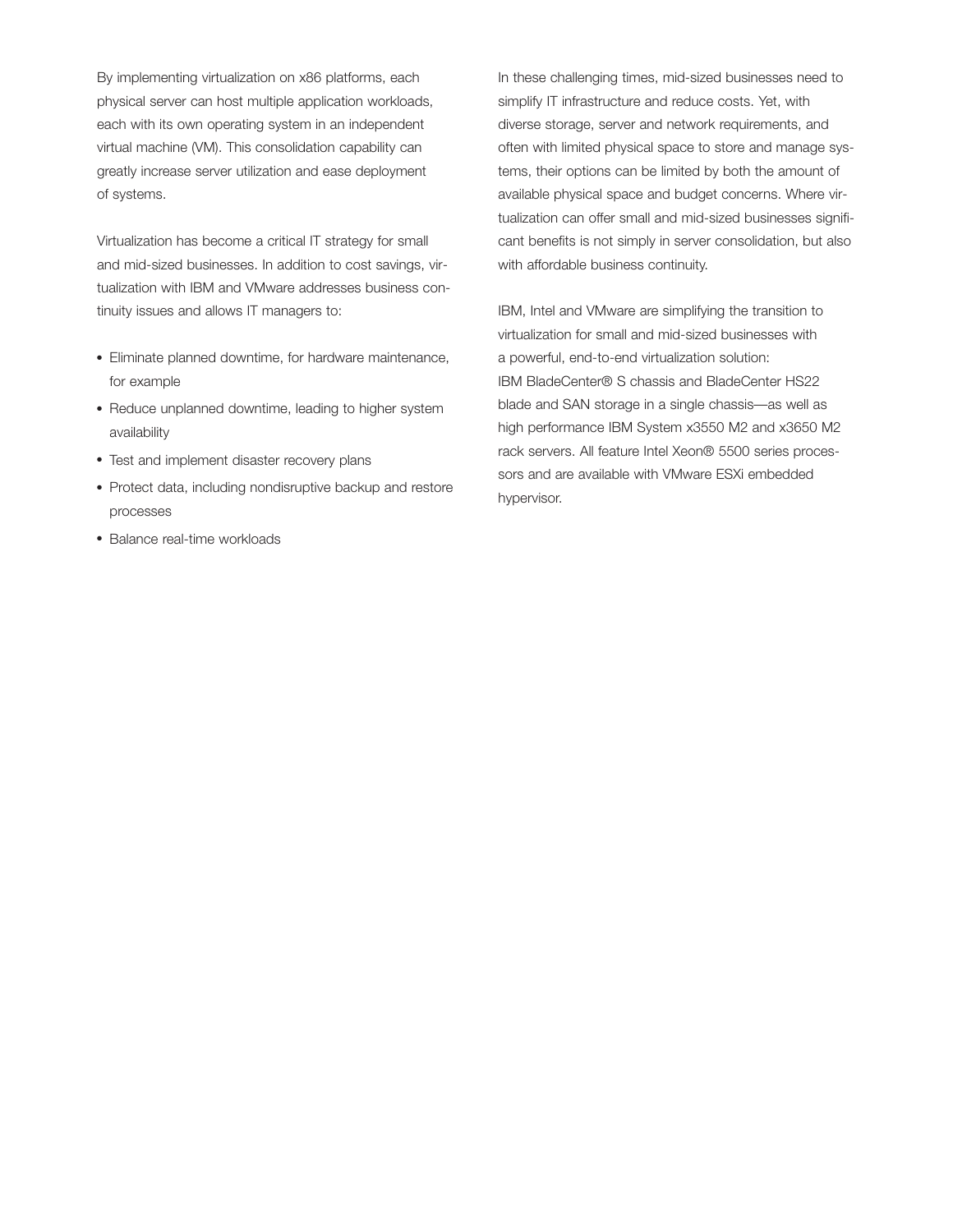By implementing virtualization on x86 platforms, each physical server can host multiple application workloads, each with its own operating system in an independent virtual machine (VM). This consolidation capability can greatly increase server utilization and ease deployment of systems.

Virtualization has become a critical IT strategy for small and mid-sized businesses. In addition to cost savings, virtualization with IBM and VMware addresses business continuity issues and allows IT managers to:

- Eliminate planned downtime, for hardware maintenance, for example
- Reduce unplanned downtime, leading to higher system availability
- Test and implement disaster recovery plans
- Protect data, including nondisruptive backup and restore processes
- Balance real-time workloads

In these challenging times, mid-sized businesses need to simplify IT infrastructure and reduce costs. Yet, with diverse storage, server and network requirements, and often with limited physical space to store and manage systems, their options can be limited by both the amount of available physical space and budget concerns. Where virtualization can offer small and mid-sized businesses significant benefits is not simply in server consolidation, but also with affordable business continuity.

IBM, Intel and VMware are simplifying the transition to virtualization for small and mid-sized businesses with a powerful, end-to-end virtualization solution: IBM BladeCenter® S chassis and BladeCenter HS22 blade and SAN storage in a single chassis—as well as high performance IBM System x3550 M2 and x3650 M2 rack servers. All feature Intel Xeon® 5500 series processors and are available with VMware ESXi embedded hypervisor.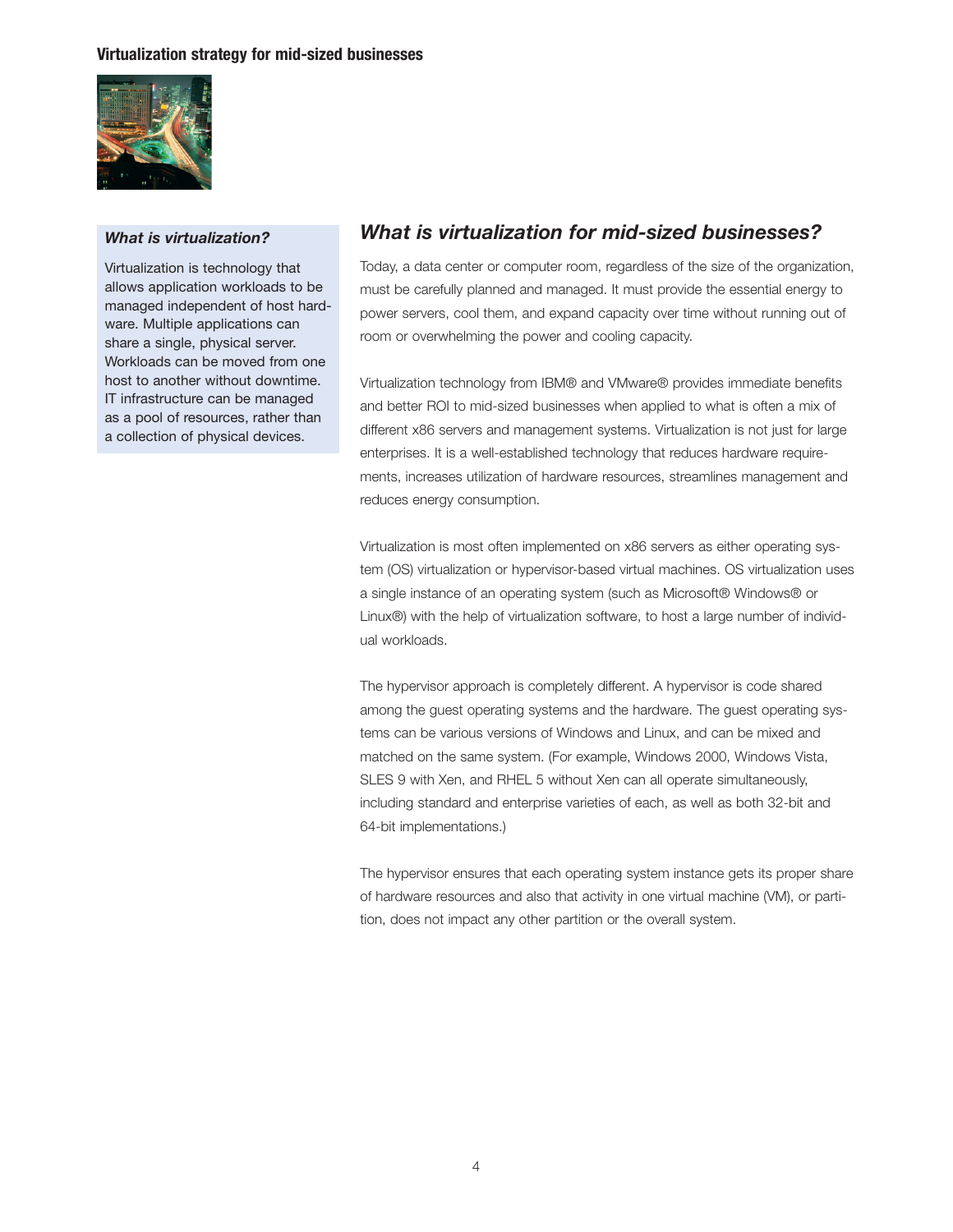

#### *What is virtualization?*

Virtualization is technology that allows application workloads to be managed independent of host hardware. Multiple applications can share a single, physical server. Workloads can be moved from one host to another without downtime. IT infrastructure can be managed as a pool of resources, rather than a collection of physical devices.

# *What is virtualization for mid-sized businesses?*

Today, a data center or computer room, regardless of the size of the organization, must be carefully planned and managed. It must provide the essential energy to power servers, cool them, and expand capacity over time without running out of room or overwhelming the power and cooling capacity.

Virtualization technology from IBM® and VMware® provides immediate benefits and better ROI to mid-sized businesses when applied to what is often a mix of different x86 servers and management systems. Virtualization is not just for large enterprises. It is a well-established technology that reduces hardware requirements, increases utilization of hardware resources, streamlines management and reduces energy consumption.

Virtualization is most often implemented on x86 servers as either operating system (OS) virtualization or hypervisor-based virtual machines. OS virtualization uses a single instance of an operating system (such as Microsoft® Windows® or Linux®) with the help of virtualization software, to host a large number of individual workloads.

The hypervisor approach is completely different. A hypervisor is code shared among the guest operating systems and the hardware. The guest operating systems can be various versions of Windows and Linux, and can be mixed and matched on the same system. (For example, Windows 2000, Windows Vista, SLES 9 with Xen, and RHEL 5 without Xen can all operate simultaneously, including standard and enterprise varieties of each, as well as both 32-bit and 64-bit implementations.)

The hypervisor ensures that each operating system instance gets its proper share of hardware resources and also that activity in one virtual machine (VM), or partition, does not impact any other partition or the overall system.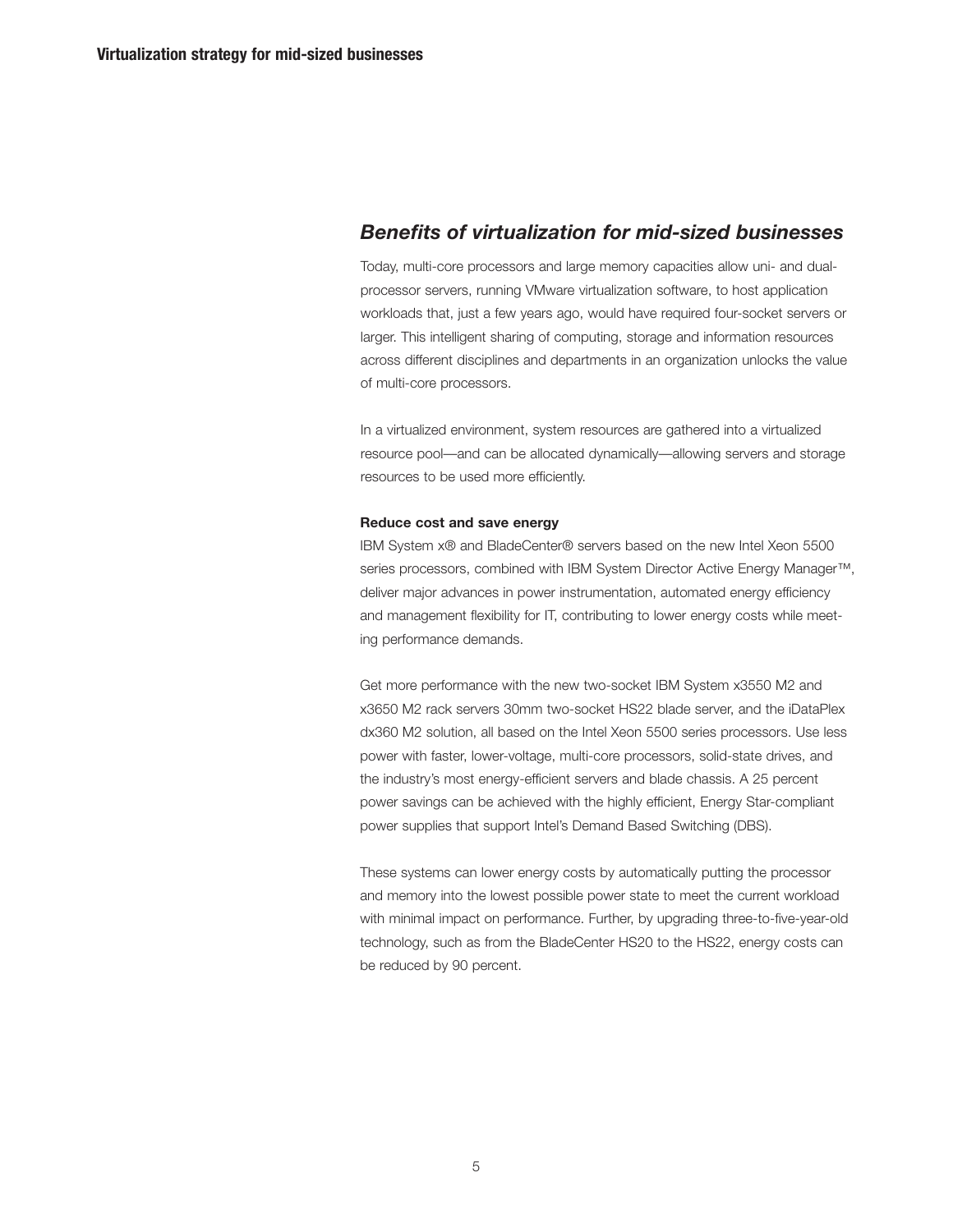## *Benefits of virtualization for mid-sized businesses*

Today, multi-core processors and large memory capacities allow uni- and dualprocessor servers, running VMware virtualization software, to host application workloads that, just a few years ago, would have required four-socket servers or larger. This intelligent sharing of computing, storage and information resources across different disciplines and departments in an organization unlocks the value of multi-core processors.

In a virtualized environment, system resources are gathered into a virtualized resource pool—and can be allocated dynamically—allowing servers and storage resources to be used more efficiently.

#### **Reduce cost and save energy**

IBM System x® and BladeCenter® servers based on the new Intel Xeon 5500 series processors, combined with IBM System Director Active Energy Manager™, deliver major advances in power instrumentation, automated energy efficiency and management flexibility for IT, contributing to lower energy costs while meeting performance demands.

Get more performance with the new two-socket IBM System x3550 M2 and x3650 M2 rack servers 30mm two-socket HS22 blade server, and the iDataPlex dx360 M2 solution, all based on the Intel Xeon 5500 series processors. Use less power with faster, lower-voltage, multi-core processors, solid-state drives, and the industry's most energy-efficient servers and blade chassis. A 25 percent power savings can be achieved with the highly efficient, Energy Star-compliant power supplies that support Intel's Demand Based Switching (DBS).

These systems can lower energy costs by automatically putting the processor and memory into the lowest possible power state to meet the current workload with minimal impact on performance. Further, by upgrading three-to-five-year-old technology, such as from the BladeCenter HS20 to the HS22, energy costs can be reduced by 90 percent.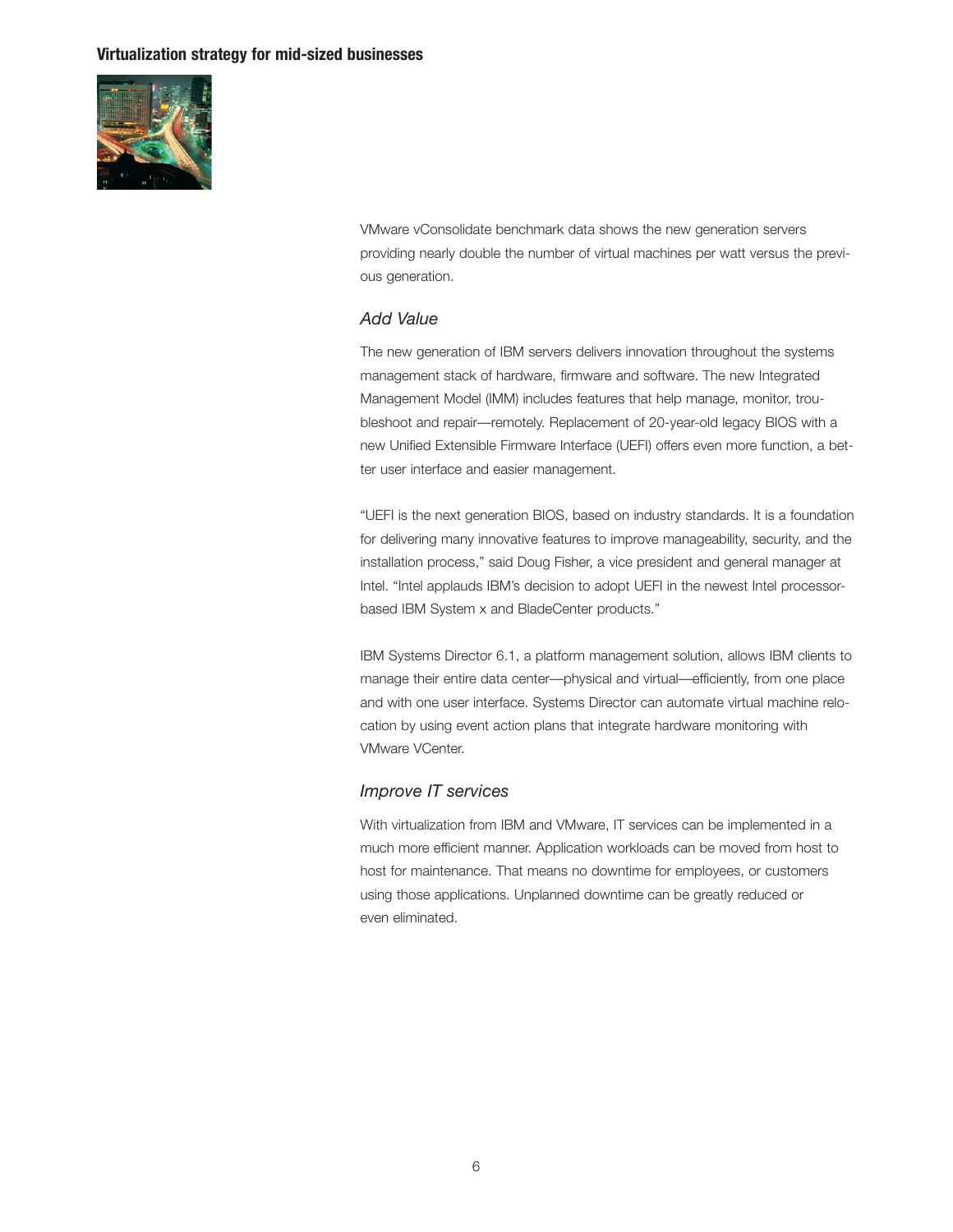

VMware vConsolidate benchmark data shows the new generation servers providing nearly double the number of virtual machines per watt versus the previous generation.

## *Add Value*

The new generation of IBM servers delivers innovation throughout the systems management stack of hardware, firmware and software. The new Integrated Management Model (IMM) includes features that help manage, monitor, troubleshoot and repair—remotely. Replacement of 20-year-old legacy BIOS with a new Unified Extensible Firmware Interface (UEFI) offers even more function, a better user interface and easier management.

"UEFI is the next generation BIOS, based on industry standards. It is a foundation for delivering many innovative features to improve manageability, security, and the installation process," said Doug Fisher, a vice president and general manager at Intel. "Intel applauds IBM's decision to adopt UEFI in the newest Intel processorbased IBM System x and BladeCenter products."

IBM Systems Director 6.1, a platform management solution, allows IBM clients to manage their entire data center—physical and virtual—efficiently, from one place and with one user interface. Systems Director can automate virtual machine relocation by using event action plans that integrate hardware monitoring with VMware VCenter.

## *Improve IT services*

With virtualization from IBM and VMware, IT services can be implemented in a much more efficient manner. Application workloads can be moved from host to host for maintenance. That means no downtime for employees, or customers using those applications. Unplanned downtime can be greatly reduced or even eliminated.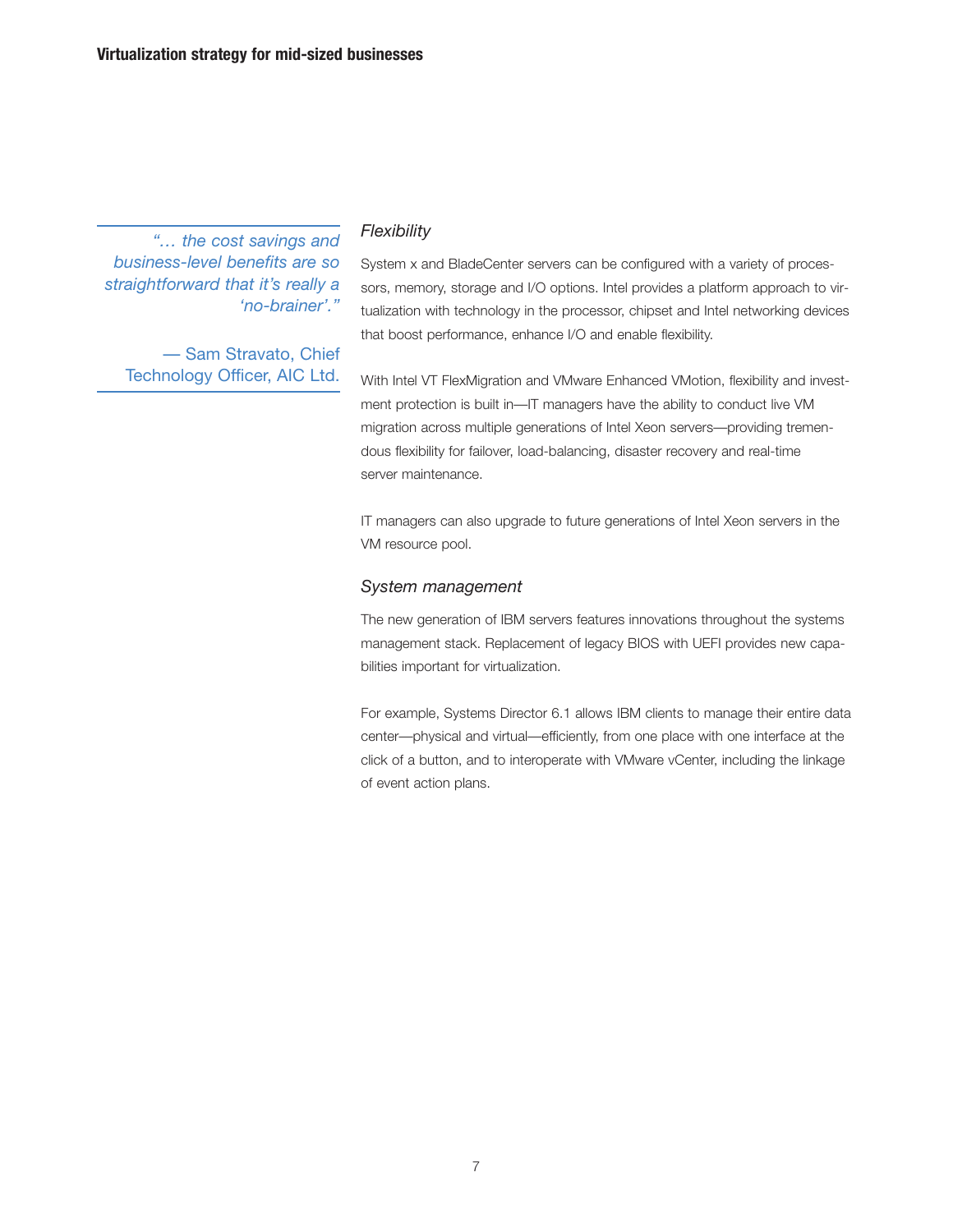*"… the cost savings and business-level benefits are so straightforward that it's really a 'no-brainer'."*

— Sam Stravato, Chief Technology Officer, AIC Ltd.

## *Flexibility*

System x and BladeCenter servers can be configured with a variety of processors, memory, storage and I/O options. Intel provides a platform approach to virtualization with technology in the processor, chipset and Intel networking devices that boost performance, enhance I/O and enable flexibility.

With Intel VT FlexMigration and VMware Enhanced VMotion, flexibility and investment protection is built in—IT managers have the ability to conduct live VM migration across multiple generations of Intel Xeon servers—providing tremendous flexibility for failover, load-balancing, disaster recovery and real-time server maintenance.

IT managers can also upgrade to future generations of Intel Xeon servers in the VM resource pool.

#### *System management*

The new generation of IBM servers features innovations throughout the systems management stack. Replacement of legacy BIOS with UEFI provides new capabilities important for virtualization.

For example, Systems Director 6.1 allows IBM clients to manage their entire data center—physical and virtual—efficiently, from one place with one interface at the click of a button, and to interoperate with VMware vCenter, including the linkage of event action plans.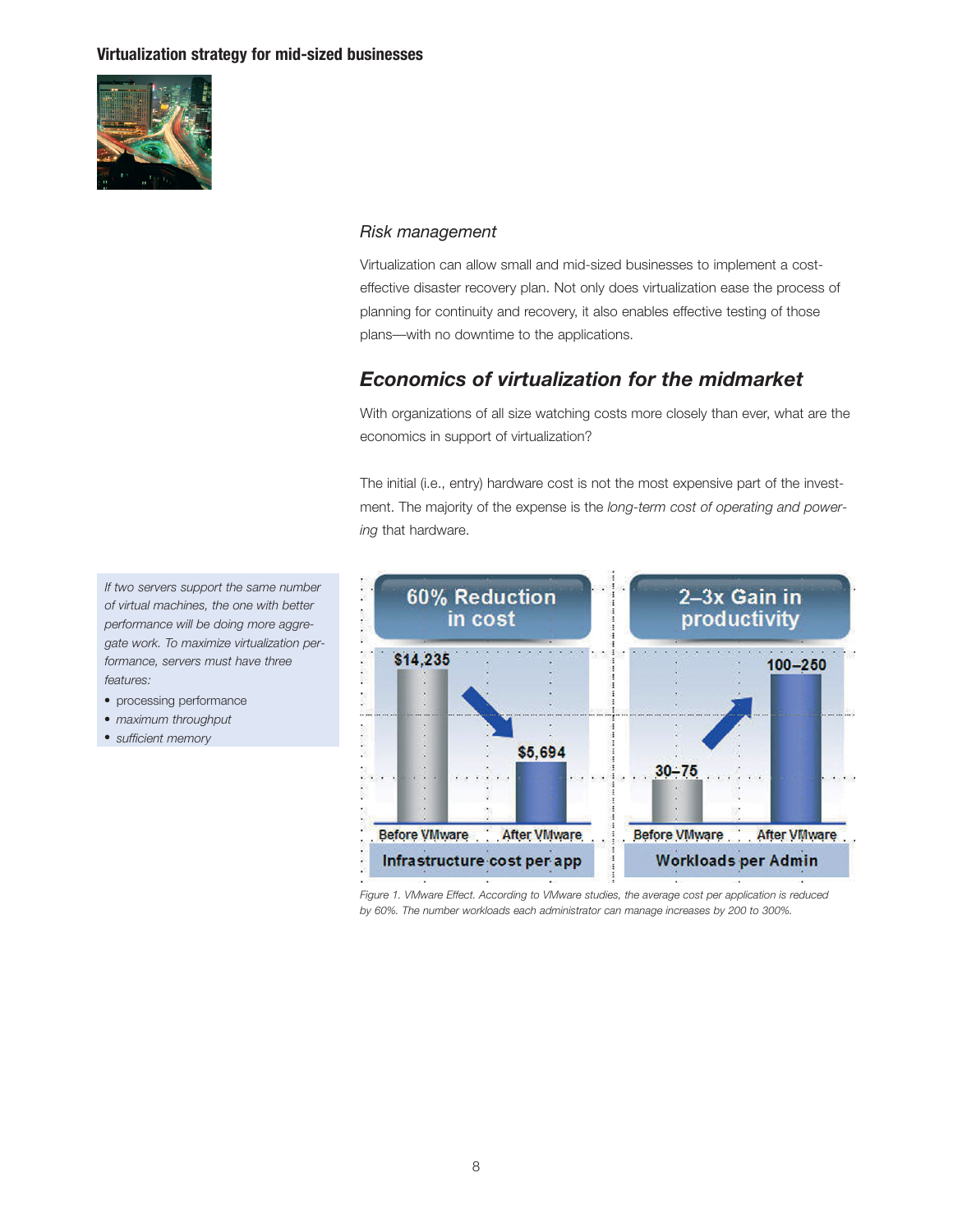

## *Risk management*

Virtualization can allow small and mid-sized businesses to implement a costeffective disaster recovery plan. Not only does virtualization ease the process of planning for continuity and recovery, it also enables effective testing of those plans—with no downtime to the applications.

# *Economics of virtualization for the midmarket*

With organizations of all size watching costs more closely than ever, what are the economics in support of virtualization?

The initial (i.e., entry) hardware cost is not the most expensive part of the investment. The majority of the expense is the *long-term cost of operating and powering* that hardware.



*Figure 1. VMware Effect. According to VMware studies, the average cost per application is reduced by 60%. The number workloads each administrator can manage increases by 200 to 300%.*

*If two servers support the same number of virtual machines, the one with better performance will be doing more aggregate work. To maximize virtualization performance, servers must have three features:*

- processing performance
- *maximum throughput*
- *sufficient memory*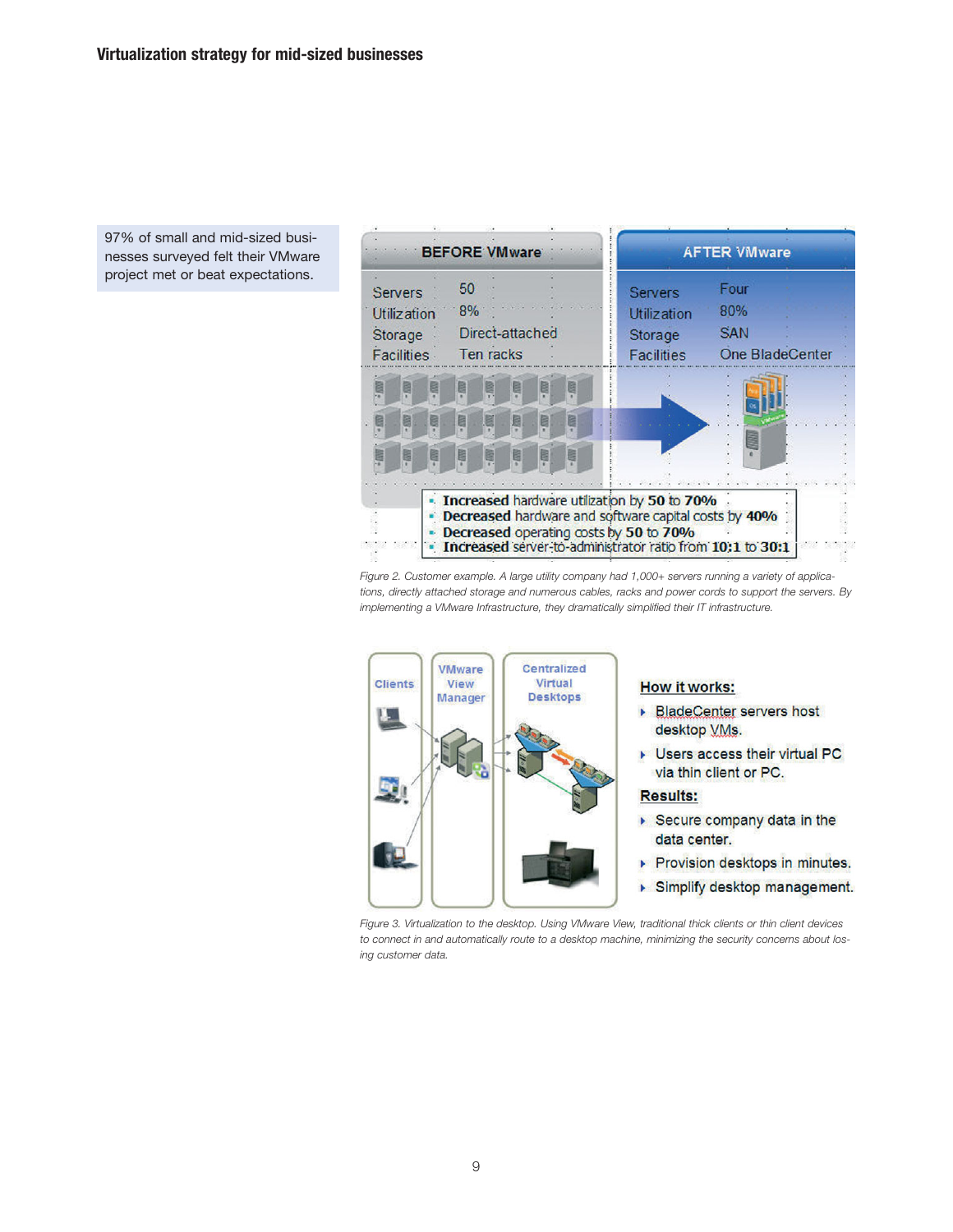97% of small and mid-sized businesses surveyed felt their VMware project met or beat expectations.



*Figure 2. Customer example. A large utility company had 1,000+ servers running a variety of applications, directly attached storage and numerous cables, racks and power cords to support the servers. By implementing a VMware Infrastructure, they dramatically simplified their IT infrastructure.*



#### **How it works:**

- ▶ BladeCenter servers host desktop VMs.
- Users access their virtual PC via thin client or PC.

#### **Results:**

- ▶ Secure company data in the data center.
- Provision desktops in minutes.
- Simplify desktop management.

*Figure 3. Virtualization to the desktop. Using VMware View, traditional thick clients or thin client devices to connect in and automatically route to a desktop machine, minimizing the security concerns about losing customer data.*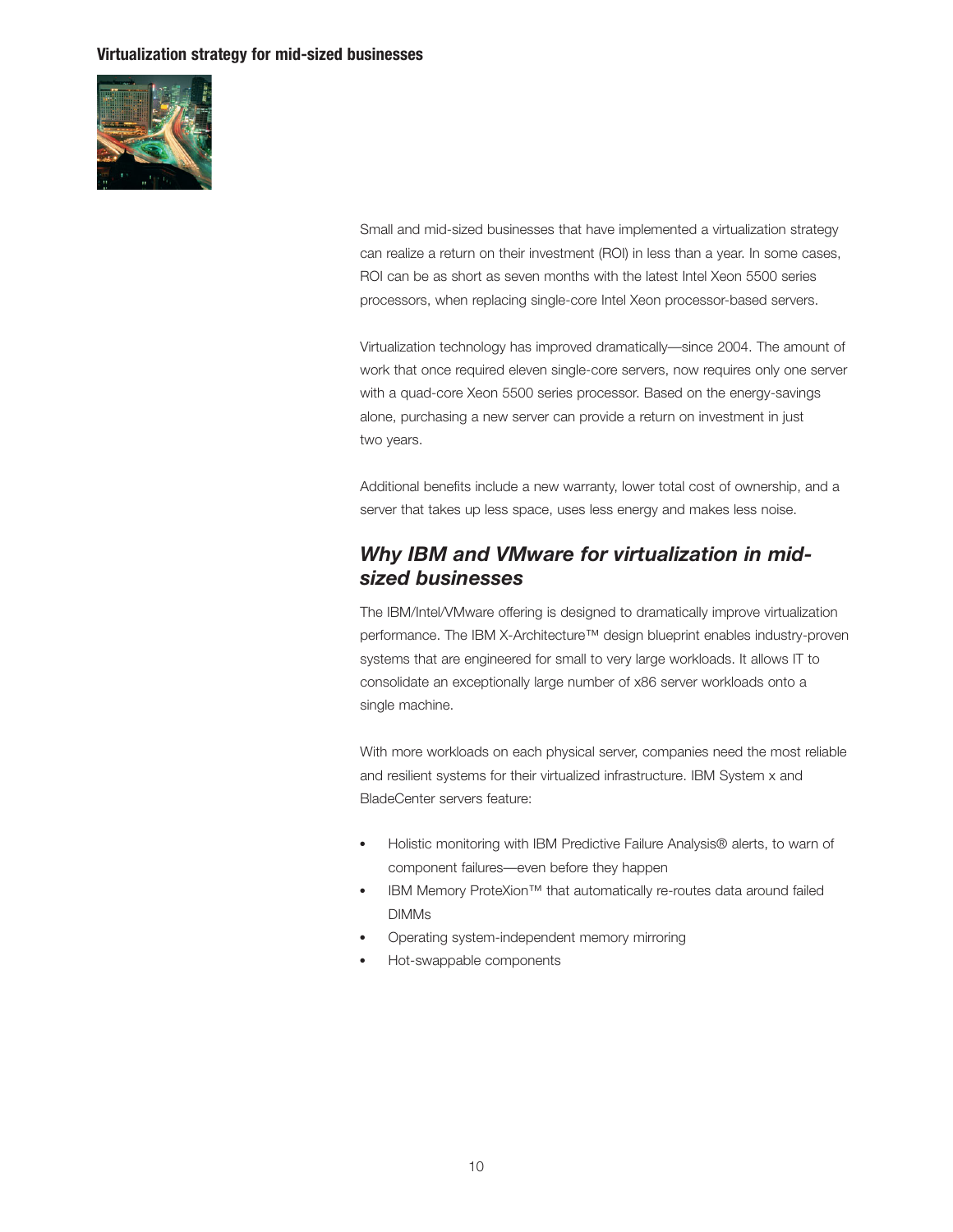

Small and mid-sized businesses that have implemented a virtualization strategy can realize a return on their investment (ROI) in less than a year. In some cases, ROI can be as short as seven months with the latest Intel Xeon 5500 series processors, when replacing single-core Intel Xeon processor-based servers.

Virtualization technology has improved dramatically—since 2004. The amount of work that once required eleven single-core servers, now requires only one server with a quad-core Xeon 5500 series processor. Based on the energy-savings alone, purchasing a new server can provide a return on investment in just two years.

Additional benefits include a new warranty, lower total cost of ownership, and a server that takes up less space, uses less energy and makes less noise.

# *Why IBM and VMware for virtualization in midsized businesses*

The IBM/Intel/VMware offering is designed to dramatically improve virtualization performance. The IBM X-Architecture™ design blueprint enables industry-proven systems that are engineered for small to very large workloads. It allows IT to consolidate an exceptionally large number of x86 server workloads onto a single machine.

With more workloads on each physical server, companies need the most reliable and resilient systems for their virtualized infrastructure. IBM System x and BladeCenter servers feature:

- Holistic monitoring with IBM Predictive Failure Analysis® alerts, to warn of component failures—even before they happen
- IBM Memory ProteXion™ that automatically re-routes data around failed DIMMs
- Operating system-independent memory mirroring
- Hot-swappable components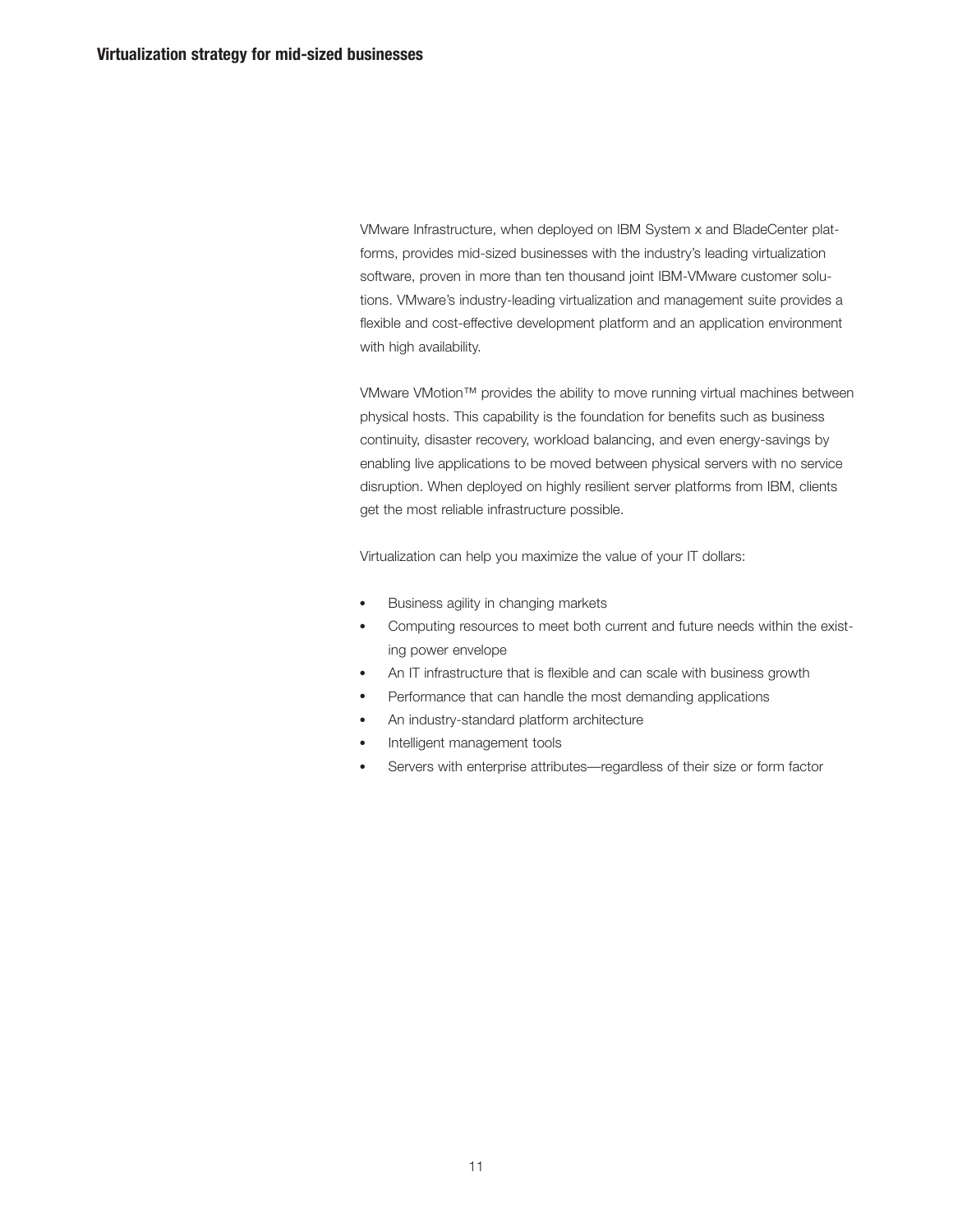VMware Infrastructure, when deployed on IBM System x and BladeCenter platforms, provides mid-sized businesses with the industry's leading virtualization software, proven in more than ten thousand joint IBM-VMware customer solutions. VMware's industry-leading virtualization and management suite provides a flexible and cost-effective development platform and an application environment with high availability.

VMware VMotion™ provides the ability to move running virtual machines between physical hosts. This capability is the foundation for benefits such as business continuity, disaster recovery, workload balancing, and even energy-savings by enabling live applications to be moved between physical servers with no service disruption. When deployed on highly resilient server platforms from IBM, clients get the most reliable infrastructure possible.

Virtualization can help you maximize the value of your IT dollars:

- Business agility in changing markets
- Computing resources to meet both current and future needs within the existing power envelope
- An IT infrastructure that is flexible and can scale with business growth
- Performance that can handle the most demanding applications
- An industry-standard platform architecture
- Intelligent management tools
- Servers with enterprise attributes—regardless of their size or form factor